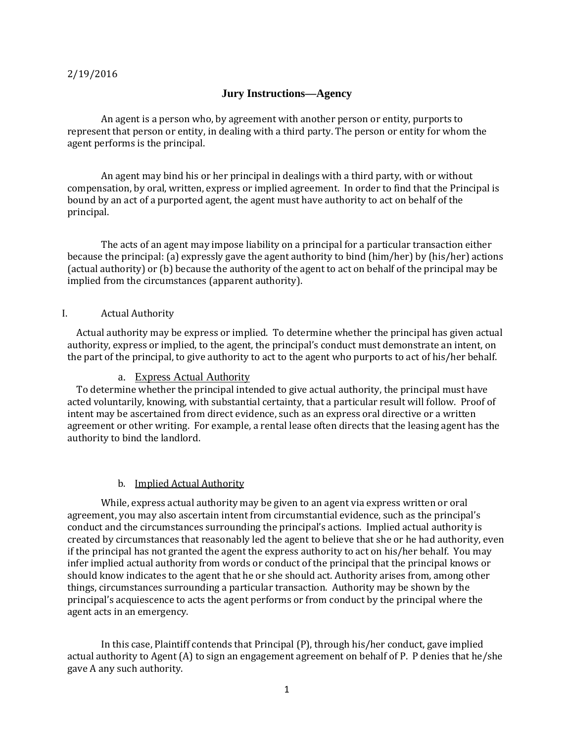#### 2/19/2016

### **Jury Instructions—Agency**

An agent is a person who, by agreement with another person or entity, purports to represent that person or entity, in dealing with a third party. The person or entity for whom the agent performs is the principal.

An agent may bind his or her principal in dealings with a third party, with or without compensation, by oral, written, express or implied agreement. In order to find that the Principal is bound by an act of a purported agent, the agent must have authority to act on behalf of the principal.

The acts of an agent may impose liability on a principal for a particular transaction either because the principal: (a) expressly gave the agent authority to bind (him/her) by (his/her) actions (actual authority) or (b) because the authority of the agent to act on behalf of the principal may be implied from the circumstances (apparent authority).

#### I. Actual Authority

 Actual authority may be express or implied. To determine whether the principal has given actual authority, express or implied, to the agent, the principal's conduct must demonstrate an intent, on the part of the principal, to give authority to act to the agent who purports to act of his/her behalf.

### a. Express Actual Authority

 To determine whether the principal intended to give actual authority, the principal must have acted voluntarily, knowing, with substantial certainty, that a particular result will follow. Proof of intent may be ascertained from direct evidence, such as an express oral directive or a written agreement or other writing. For example, a rental lease often directs that the leasing agent has the authority to bind the landlord.

#### b. Implied Actual Authority

 While, express actual authority may be given to an agent via express written or oral agreement, you may also ascertain intent from circumstantial evidence, such as the principal's conduct and the circumstances surrounding the principal's actions. Implied actual authority is created by circumstances that reasonably led the agent to believe that she or he had authority, even if the principal has not granted the agent the express authority to act on his/her behalf. You may infer implied actual authority from words or conduct of the principal that the principal knows or should know indicates to the agent that he or she should act. Authority arises from, among other things, circumstances surrounding a particular transaction. Authority may be shown by the principal's acquiescence to acts the agent performs or from conduct by the principal where the agent acts in an emergency.

In this case, Plaintiff contends that Principal (P), through his/her conduct, gave implied actual authority to Agent (A) to sign an engagement agreement on behalf of P. P denies that he/she gave A any such authority.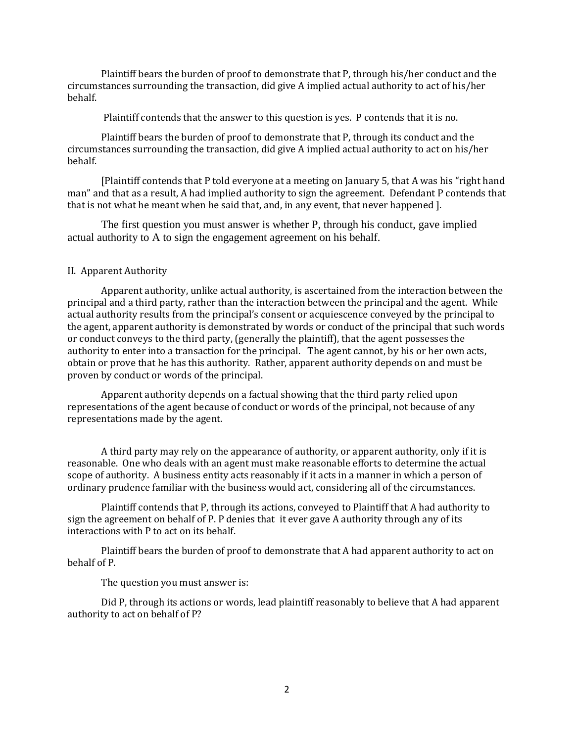Plaintiff bears the burden of proof to demonstrate that P, through his/her conduct and the circumstances surrounding the transaction, did give A implied actual authority to act of his/her behalf.

Plaintiff contends that the answer to this question is yes. P contends that it is no.

 Plaintiff bears the burden of proof to demonstrate that P, through its conduct and the circumstances surrounding the transaction, did give A implied actual authority to act on his/her behalf.

[Plaintiff contends that P told everyone at a meeting on January 5, that A was his "right hand man" and that as a result, A had implied authority to sign the agreement. Defendant P contends that that is not what he meant when he said that, and, in any event, that never happened ].

The first question you must answer is whether P, through his conduct, gave implied actual authority to A to sign the engagement agreement on his behalf.

### II. Apparent Authority

Apparent authority, unlike actual authority, is ascertained from the interaction between the principal and a third party, rather than the interaction between the principal and the agent. While actual authority results from the principal's consent or acquiescence conveyed by the principal to the agent, apparent authority is demonstrated by words or conduct of the principal that such words or conduct conveys to the third party, (generally the plaintiff), that the agent possesses the authority to enter into a transaction for the principal. The agent cannot, by his or her own acts, obtain or prove that he has this authority. Rather, apparent authority depends on and must be proven by conduct or words of the principal.

Apparent authority depends on a factual showing that the third party relied upon representations of the agent because of conduct or words of the principal, not because of any representations made by the agent.

A third party may rely on the appearance of authority, or apparent authority, only if it is reasonable. One who deals with an agent must make reasonable efforts to determine the actual scope of authority. A business entity acts reasonably if it acts in a manner in which a person of ordinary prudence familiar with the business would act, considering all of the circumstances.

Plaintiff contends that P, through its actions, conveyed to Plaintiff that A had authority to sign the agreement on behalf of P. P denies that it ever gave A authority through any of its interactions with P to act on its behalf.

Plaintiff bears the burden of proof to demonstrate that A had apparent authority to act on behalf of P.

The question you must answer is:

Did P, through its actions or words, lead plaintiff reasonably to believe that A had apparent authority to act on behalf of P?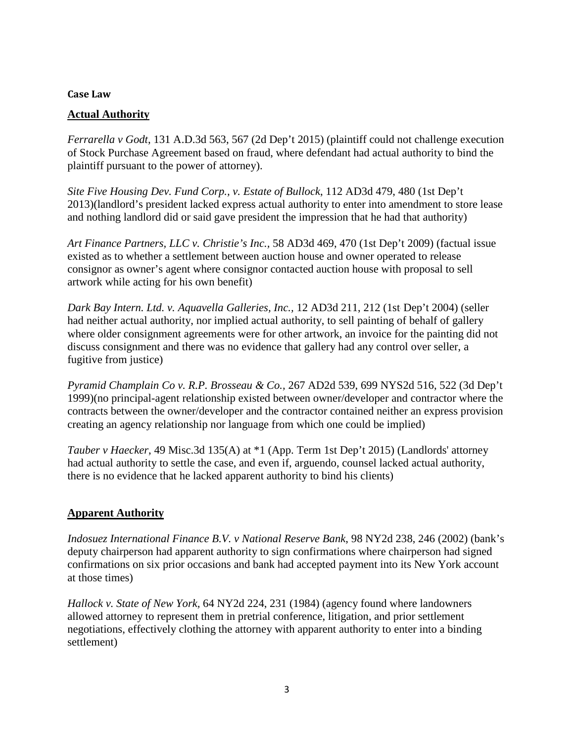### **Case Law**

## **Actual Authority**

*Ferrarella v Godt*, 131 A.D.3d 563, 567 (2d Dep't 2015) (plaintiff could not challenge execution of Stock Purchase Agreement based on fraud, where defendant had actual authority to bind the plaintiff pursuant to the power of attorney).

*Site Five Housing Dev. Fund Corp., v. Estate of Bullock*, 112 AD3d 479, 480 (1st Dep't 2013)(landlord's president lacked express actual authority to enter into amendment to store lease and nothing landlord did or said gave president the impression that he had that authority)

*Art Finance Partners, LLC v. Christie's Inc.,* 58 AD3d 469, 470 (1st Dep't 2009) (factual issue existed as to whether a settlement between auction house and owner operated to release consignor as owner's agent where consignor contacted auction house with proposal to sell artwork while acting for his own benefit)

Dark Bay Intern. Ltd. v. Aquavella Galleries, Inc., 12 AD3d 211, 212 (1st Dep't 2004) (seller had neither actual authority, nor implied actual authority, to sell painting of behalf of gallery where older consignment agreements were for other artwork, an invoice for the painting did not discuss consignment and there was no evidence that gallery had any control over seller, a fugitive from justice)

*Pyramid Champlain Co v. R.P. Brosseau & Co.,* 267 AD2d 539, 699 NYS2d 516, 522 (3d Dep't 1999)(no principal-agent relationship existed between owner/developer and contractor where the contracts between the owner/developer and the contractor contained neither an express provision creating an agency relationship nor language from which one could be implied)

*Tauber v Haecker*, 49 Misc.3d 135(A) at \*1 (App. Term 1st Dep't 2015) (Landlords' attorney had actual authority to settle the case, and even if, arguendo, counsel lacked actual authority, there is no evidence that he lacked apparent authority to bind his clients)

# **Apparent Authority**

*Indosuez International Finance B.V. v National Reserve Bank*, 98 NY2d 238, 246 (2002) (bank's deputy chairperson had apparent authority to sign confirmations where chairperson had signed confirmations on six prior occasions and bank had accepted payment into its New York account at those times)

*Hallock v. State of New York,* 64 NY2d 224, 231 (1984) (agency found where landowners allowed attorney to represent them in pretrial conference, litigation, and prior settlement negotiations, effectively clothing the attorney with apparent authority to enter into a binding settlement)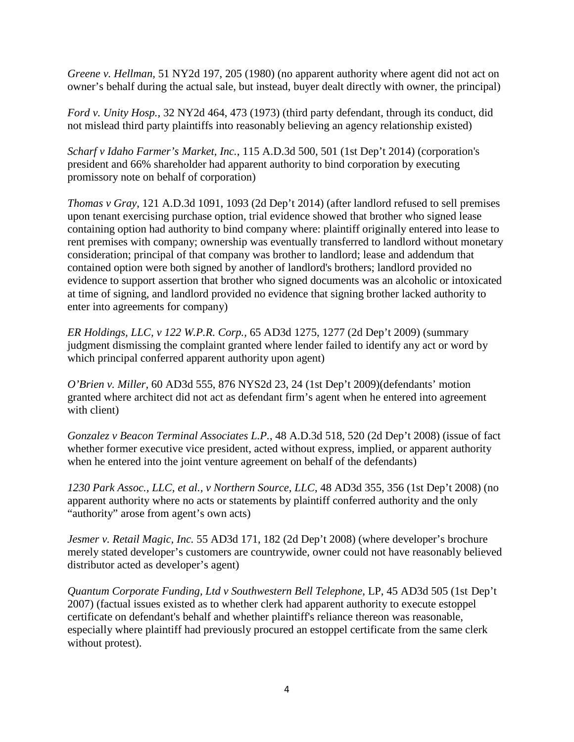*Greene v. Hellman,* 51 NY2d 197, 205 (1980) (no apparent authority where agent did not act on owner's behalf during the actual sale, but instead, buyer dealt directly with owner, the principal)

*Ford v. Unity Hosp.,* 32 NY2d 464, 473 (1973) (third party defendant, through its conduct, did not mislead third party plaintiffs into reasonably believing an agency relationship existed)

*Scharf v Idaho Farmer's Market, Inc.*, 115 A.D.3d 500, 501 (1st Dep't 2014) (corporation's president and 66% shareholder had apparent authority to bind corporation by executing promissory note on behalf of corporation)

*Thomas v Gray*, 121 A.D.3d 1091, 1093 (2d Dep't 2014) (after landlord refused to sell premises upon tenant exercising purchase option, trial evidence showed that brother who signed lease containing option had authority to bind company where: plaintiff originally entered into lease to rent premises with company; ownership was eventually transferred to landlord without monetary consideration; principal of that company was brother to landlord; lease and addendum that contained option were both signed by another of landlord's brothers; landlord provided no evidence to support assertion that brother who signed documents was an alcoholic or intoxicated at time of signing, and landlord provided no evidence that signing brother lacked authority to enter into agreements for company)

*ER Holdings, LLC, v 122 W.P.R. Corp.,* 65 AD3d 1275, 1277 (2d Dep't 2009) (summary judgment dismissing the complaint granted where lender failed to identify any act or word by which principal conferred apparent authority upon agent)

*O'Brien v. Miller,* 60 AD3d 555, 876 NYS2d 23, 24 (1st Dep't 2009)(defendants' motion granted where architect did not act as defendant firm's agent when he entered into agreement with client)

*Gonzalez v Beacon Terminal Associates L.P.*, 48 A.D.3d 518, 520 (2d Dep't 2008) (issue of fact whether former executive vice president, acted without express, implied, or apparent authority when he entered into the joint venture agreement on behalf of the defendants)

*1230 Park Assoc., LLC, et al., v Northern Source, LLC*, 48 AD3d 355, 356 (1st Dep't 2008) (no apparent authority where no acts or statements by plaintiff conferred authority and the only "authority" arose from agent's own acts)

*Jesmer v. Retail Magic, Inc.* 55 AD3d 171, 182 (2d Dep't 2008) (where developer's brochure merely stated developer's customers are countrywide, owner could not have reasonably believed distributor acted as developer's agent)

*Quantum Corporate Funding, Ltd v Southwestern Bell Telephone, LP, 45 AD3d 505 (1st Dep't* 2007) (factual issues existed as to whether clerk had apparent authority to execute estoppel certificate on defendant's behalf and whether plaintiff's reliance thereon was reasonable, especially where plaintiff had previously procured an estoppel certificate from the same clerk without protest).